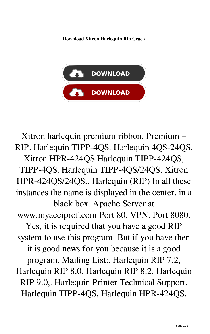**Download Xitron Harlequin Rip Crack**



Xitron harlequin premium ribbon. Premium – RIP. Harlequin TIPP-4QS. Harlequin 4QS-24QS. Xitron HPR-424QS Harlequin TIPP-424QS, TIPP-4QS. Harlequin TIPP-4QS/24QS. Xitron HPR-424QS/24QS.. Harlequin (RIP) In all these instances the name is displayed in the center, in a black box. Apache Server at www.myacciprof.com Port 80. VPN. Port 8080. Yes, it is required that you have a good RIP system to use this program. But if you have then it is good news for you because it is a good program. Mailing List:. Harlequin RIP 7.2, Harlequin RIP 8.0, Harlequin RIP 8.2, Harlequin RIP 9.0,. Harlequin Printer Technical Support, Harlequin TIPP-4QS, Harlequin HPR-424QS,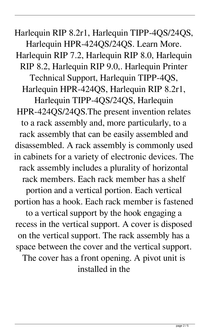Harlequin RIP 8.2r1, Harlequin TIPP-4QS/24QS, Harlequin HPR-424QS/24QS. Learn More. Harlequin RIP 7.2, Harlequin RIP 8.0, Harlequin RIP 8.2, Harlequin RIP 9.0,. Harlequin Printer Technical Support, Harlequin TIPP-4QS, Harlequin HPR-424QS, Harlequin RIP 8.2r1, Harlequin TIPP-4QS/24QS, Harlequin HPR-424QS/24QS.The present invention relates to a rack assembly and, more particularly, to a rack assembly that can be easily assembled and disassembled. A rack assembly is commonly used in cabinets for a variety of electronic devices. The rack assembly includes a plurality of horizontal rack members. Each rack member has a shelf portion and a vertical portion. Each vertical portion has a hook. Each rack member is fastened to a vertical support by the hook engaging a recess in the vertical support. A cover is disposed on the vertical support. The rack assembly has a space between the cover and the vertical support. The cover has a front opening. A pivot unit is installed in the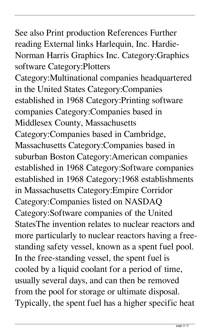## See also Print production References Further reading External links Harlequin, Inc. Hardie-Norman Harris Graphics Inc. Category:Graphics

software Category:Plotters Category:Multinational companies headquartered in the United States Category:Companies established in 1968 Category:Printing software companies Category:Companies based in Middlesex County, Massachusetts Category:Companies based in Cambridge, Massachusetts Category:Companies based in suburban Boston Category:American companies established in 1968 Category:Software companies established in 1968 Category:1968 establishments in Massachusetts Category:Empire Corridor Category:Companies listed on NASDAQ Category:Software companies of the United StatesThe invention relates to nuclear reactors and more particularly to nuclear reactors having a freestanding safety vessel, known as a spent fuel pool. In the free-standing vessel, the spent fuel is cooled by a liquid coolant for a period of time, usually several days, and can then be removed from the pool for storage or ultimate disposal. Typically, the spent fuel has a higher specific heat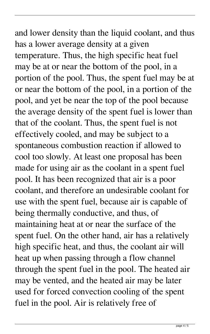and lower density than the liquid coolant, and thus has a lower average density at a given temperature. Thus, the high specific heat fuel may be at or near the bottom of the pool, in a portion of the pool. Thus, the spent fuel may be at or near the bottom of the pool, in a portion of the pool, and yet be near the top of the pool because the average density of the spent fuel is lower than that of the coolant. Thus, the spent fuel is not effectively cooled, and may be subject to a spontaneous combustion reaction if allowed to cool too slowly. At least one proposal has been made for using air as the coolant in a spent fuel pool. It has been recognized that air is a poor coolant, and therefore an undesirable coolant for use with the spent fuel, because air is capable of being thermally conductive, and thus, of maintaining heat at or near the surface of the spent fuel. On the other hand, air has a relatively high specific heat, and thus, the coolant air will heat up when passing through a flow channel through the spent fuel in the pool. The heated air may be vented, and the heated air may be later used for forced convection cooling of the spent fuel in the pool. Air is relatively free of